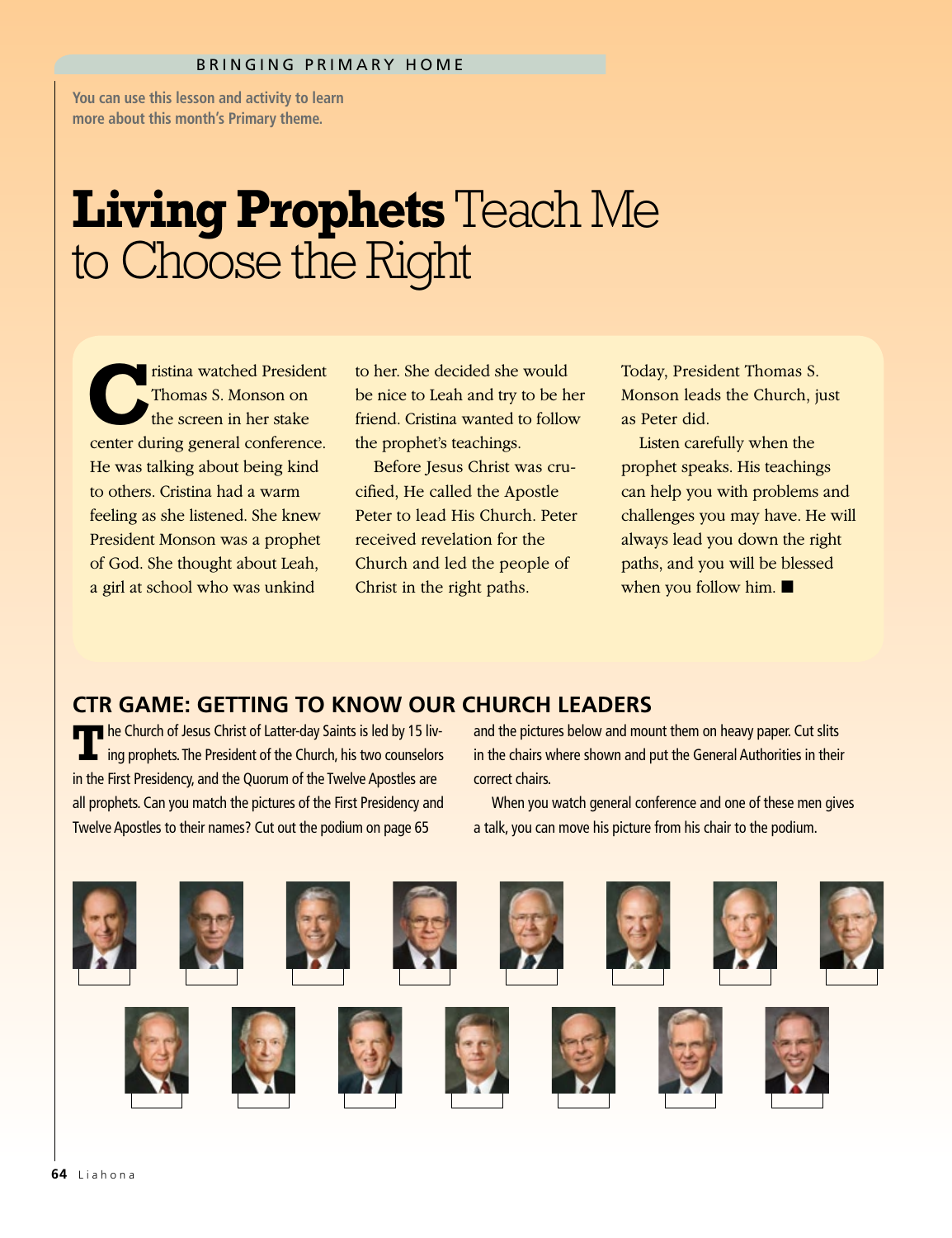**You can use this lesson and activity to learn more about this month's Primary theme.**

## **Living Prophets** Teach Me to Choose the Right

ristina watched President Thomas S. Monson on the screen in her stake center during general conference. He was talking about being kind to others. Cristina had a warm feeling as she listened. She knew President Monson was a prophet of God. She thought about Leah, a girl at school who was unkind

to her. She decided she would be nice to Leah and try to be her friend. Cristina wanted to follow the prophet's teachings.

Before Jesus Christ was crucified, He called the Apostle Peter to lead His Church. Peter received revelation for the Church and led the people of Christ in the right paths.

Today, President Thomas S. Monson leads the Church, just as Peter did.

Listen carefully when the prophet speaks. His teachings can help you with problems and challenges you may have. He will always lead you down the right paths, and you will be blessed when you follow him.  $\blacksquare$ 

## **CTR GAME: GETTING TO KNOW OUR CHURCH LEADERS**

**T**he Church of Jesus Christ of Latter-day Saints is led by 15 liv-<br>ing prophets. The President of the Church, his two counselors in the First Presidency, and the Quorum of the Twelve Apostles are all prophets. Can you match the pictures of the First Presidency and Twelve Apostles to their names? Cut out the podium on page 65

and the pictures below and mount them on heavy paper. Cut slits in the chairs where shown and put the General Authorities in their correct chairs.

When you watch general conference and one of these men gives a talk, you can move his picture from his chair to the podium.